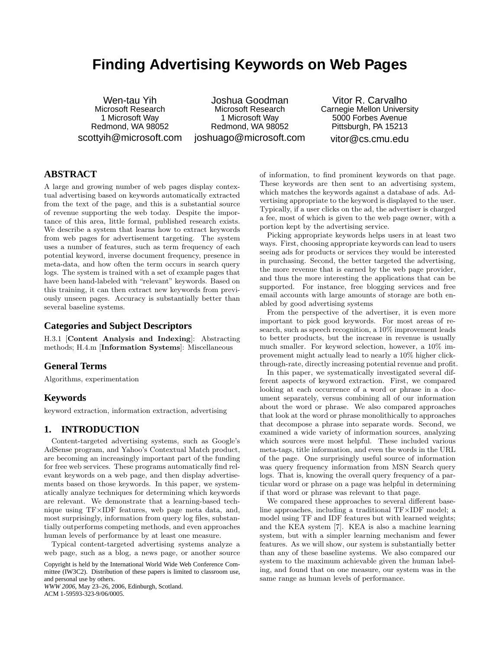# **Finding Advertising Keywords on Web Pages**

Wen-tau Yih Microsoft Research 1 Microsoft Way Redmond, WA 98052 scottyih@microsoft.com

Joshua Goodman Microsoft Research 1 Microsoft Way Redmond, WA 98052 joshuago@microsoft.com

Vitor R. Carvalho Carnegie Mellon University 5000 Forbes Avenue Pittsburgh, PA 15213 vitor@cs.cmu.edu

# **ABSTRACT**

A large and growing number of web pages display contextual advertising based on keywords automatically extracted from the text of the page, and this is a substantial source of revenue supporting the web today. Despite the importance of this area, little formal, published research exists. We describe a system that learns how to extract keywords from web pages for advertisement targeting. The system uses a number of features, such as term frequency of each potential keyword, inverse document frequency, presence in meta-data, and how often the term occurs in search query logs. The system is trained with a set of example pages that have been hand-labeled with "relevant" keywords. Based on this training, it can then extract new keywords from previously unseen pages. Accuracy is substantially better than several baseline systems.

# **Categories and Subject Descriptors**

H.3.1 [Content Analysis and Indexing]: Abstracting methods; H.4.m [Information Systems]: Miscellaneous

# **General Terms**

Algorithms, experimentation

# **Keywords**

keyword extraction, information extraction, advertising

# **1. INTRODUCTION**

Content-targeted advertising systems, such as Google's AdSense program, and Yahoo's Contextual Match product, are becoming an increasingly important part of the funding for free web services. These programs automatically find relevant keywords on a web page, and then display advertisements based on those keywords. In this paper, we systematically analyze techniques for determining which keywords are relevant. We demonstrate that a learning-based technique using TF×IDF features, web page meta data, and, most surprisingly, information from query log files, substantially outperforms competing methods, and even approaches human levels of performance by at least one measure.

Typical content-targeted advertising systems analyze a web page, such as a blog, a news page, or another source

Copyright is held by the International World Wide Web Conference Committee (IW3C2). Distribution of these papers is limited to classroom use, and personal use by others.

*WWW 2006*, May 23–26, 2006, Edinburgh, Scotland. ACM 1-59593-323-9/06/0005.

of information, to find prominent keywords on that page. These keywords are then sent to an advertising system, which matches the keywords against a database of ads. Advertising appropriate to the keyword is displayed to the user. Typically, if a user clicks on the ad, the advertiser is charged a fee, most of which is given to the web page owner, with a portion kept by the advertising service.

Picking appropriate keywords helps users in at least two ways. First, choosing appropriate keywords can lead to users seeing ads for products or services they would be interested in purchasing. Second, the better targeted the advertising, the more revenue that is earned by the web page provider, and thus the more interesting the applications that can be supported. For instance, free blogging services and free email accounts with large amounts of storage are both enabled by good advertising systems

From the perspective of the advertiser, it is even more important to pick good keywords. For most areas of research, such as speech recognition, a 10% improvement leads to better products, but the increase in revenue is usually much smaller. For keyword selection, however, a 10% improvement might actually lead to nearly a 10% higher clickthrough-rate, directly increasing potential revenue and profit.

In this paper, we systematically investigated several different aspects of keyword extraction. First, we compared looking at each occurrence of a word or phrase in a document separately, versus combining all of our information about the word or phrase. We also compared approaches that look at the word or phrase monolithically to approaches that decompose a phrase into separate words. Second, we examined a wide variety of information sources, analyzing which sources were most helpful. These included various meta-tags, title information, and even the words in the URL of the page. One surprisingly useful source of information was query frequency information from MSN Search query logs. That is, knowing the overall query frequency of a particular word or phrase on a page was helpful in determining if that word or phrase was relevant to that page.

We compared these approaches to several different baseline approaches, including a traditional TF×IDF model; a model using TF and IDF features but with learned weights; and the KEA system [7]. KEA is also a machine learning system, but with a simpler learning mechanism and fewer features. As we will show, our system is substantially better than any of these baseline systems. We also compared our system to the maximum achievable given the human labeling, and found that on one measure, our system was in the same range as human levels of performance.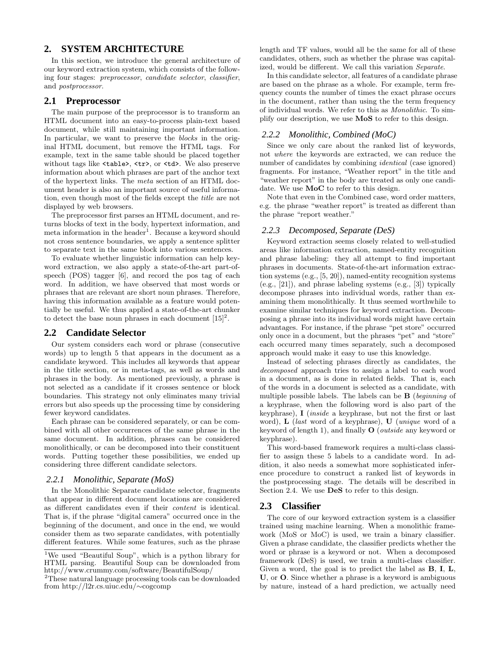# **2. SYSTEM ARCHITECTURE**

In this section, we introduce the general architecture of our keyword extraction system, which consists of the following four stages: preprocessor, candidate selector, classifier, and postprocessor.

### **2.1 Preprocessor**

The main purpose of the preprocessor is to transform an HTML document into an easy-to-process plain-text based document, while still maintaining important information. In particular, we want to preserve the *blocks* in the original HTML document, but remove the HTML tags. For example, text in the same table should be placed together without tags like <table>, <tr>, or <td>. We also preserve information about which phrases are part of the anchor text of the hypertext links. The meta section of an HTML document header is also an important source of useful information, even though most of the fields except the title are not displayed by web browsers.

The preprocessor first parses an HTML document, and returns blocks of text in the body, hypertext information, and meta information in the header<sup>1</sup>. Because a keyword should not cross sentence boundaries, we apply a sentence splitter to separate text in the same block into various sentences.

To evaluate whether linguistic information can help keyword extraction, we also apply a state-of-the-art part-ofspeech (POS) tagger [6], and record the pos tag of each word. In addition, we have observed that most words or phrases that are relevant are short noun phrases. Therefore, having this information available as a feature would potentially be useful. We thus applied a state-of-the-art chunker to detect the base noun phrases in each document  $[15]^2$ .

### **2.2 Candidate Selector**

Our system considers each word or phrase (consecutive words) up to length 5 that appears in the document as a candidate keyword. This includes all keywords that appear in the title section, or in meta-tags, as well as words and phrases in the body. As mentioned previously, a phrase is not selected as a candidate if it crosses sentence or block boundaries. This strategy not only eliminates many trivial errors but also speeds up the processing time by considering fewer keyword candidates.

Each phrase can be considered separately, or can be combined with all other occurrences of the same phrase in the same document. In addition, phrases can be considered monolithically, or can be decomposed into their constituent words. Putting together these possibilities, we ended up considering three different candidate selectors.

### *2.2.1 Monolithic, Separate (MoS)*

In the Monolithic Separate candidate selector, fragments that appear in different document locations are considered as different candidates even if their content is identical. That is, if the phrase "digital camera" occurred once in the beginning of the document, and once in the end, we would consider them as two separate candidates, with potentially different features. While some features, such as the phrase

length and TF values, would all be the same for all of these candidates, others, such as whether the phrase was capitalized, would be different. We call this variation Separate.

In this candidate selector, all features of a candidate phrase are based on the phrase as a whole. For example, term frequency counts the number of times the exact phrase occurs in the document, rather than using the the term frequency of individual words. We refer to this as Monolithic. To simplify our description, we use MoS to refer to this design.

# *2.2.2 Monolithic, Combined (MoC)*

Since we only care about the ranked list of keywords, not where the keywords are extracted, we can reduce the number of candidates by combining identical (case ignored) fragments. For instance, "Weather report" in the title and "weather report" in the body are treated as only one candidate. We use **MoC** to refer to this design.

Note that even in the Combined case, word order matters, e.g. the phrase "weather report" is treated as different than the phrase "report weather."

### *2.2.3 Decomposed, Separate (DeS)*

Keyword extraction seems closely related to well-studied areas like information extraction, named-entity recognition and phrase labeling: they all attempt to find important phrases in documents. State-of-the-art information extraction systems (e.g., [5, 20]), named-entity recognition systems (e.g., [21]), and phrase labeling systems (e.g., [3]) typically decompose phrases into individual words, rather than examining them monolithically. It thus seemed worthwhile to examine similar techniques for keyword extraction. Decomposing a phrase into its individual words might have certain advantages. For instance, if the phrase "pet store" occurred only once in a document, but the phrases "pet" and "store" each occurred many times separately, such a decomposed approach would make it easy to use this knowledge.

Instead of selecting phrases directly as candidates, the decomposed approach tries to assign a label to each word in a document, as is done in related fields. That is, each of the words in a document is selected as a candidate, with multiple possible labels. The labels can be  $\bf{B}$  (beginning of a keyphrase, when the following word is also part of the keyphrase), I (inside a keyphrase, but not the first or last word), L (last word of a keyphrase), U (unique word of a keyword of length 1), and finally O (outside any keyword or keyphrase).

This word-based framework requires a multi-class classifier to assign these 5 labels to a candidate word. In addition, it also needs a somewhat more sophisticated inference procedure to construct a ranked list of keywords in the postprocessing stage. The details will be described in Section 2.4. We use DeS to refer to this design.

# **2.3 Classifier**

The core of our keyword extraction system is a classifier trained using machine learning. When a monolithic framework (MoS or MoC) is used, we train a binary classifier. Given a phrase candidate, the classifier predicts whether the word or phrase is a keyword or not. When a decomposed framework (DeS) is used, we train a multi-class classifier. Given a word, the goal is to predict the label as B, I, L, U, or O. Since whether a phrase is a keyword is ambiguous by nature, instead of a hard prediction, we actually need

<sup>&</sup>lt;sup>1</sup>We used "Beautiful Soup", which is a python library for HTML parsing. Beautiful Soup can be downloaded from http://www.crummy.com/software/BeautifulSoup/

<sup>2</sup>These natural language processing tools can be downloaded from http://l2r.cs.uiuc.edu/∼cogcomp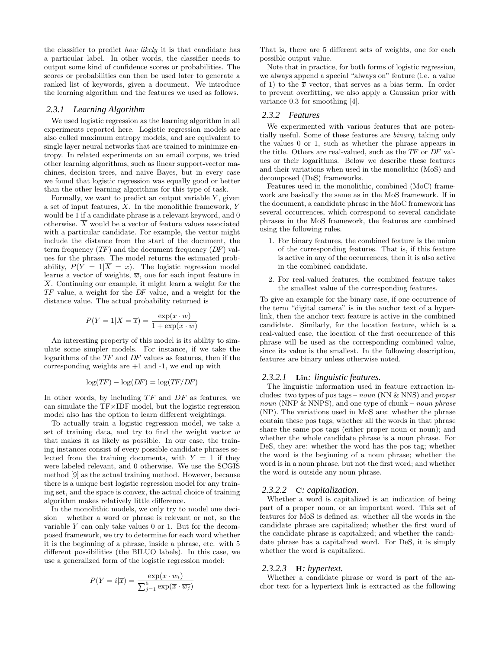the classifier to predict how likely it is that candidate has a particular label. In other words, the classifier needs to output some kind of confidence scores or probabilities. The scores or probabilities can then be used later to generate a ranked list of keywords, given a document. We introduce the learning algorithm and the features we used as follows.

#### *2.3.1 Learning Algorithm*

We used logistic regression as the learning algorithm in all experiments reported here. Logistic regression models are also called maximum entropy models, and are equivalent to single layer neural networks that are trained to minimize entropy. In related experiments on an email corpus, we tried other learning algorithms, such as linear support-vector machines, decision trees, and naive Bayes, but in every case we found that logistic regression was equally good or better than the other learning algorithms for this type of task.

Formally, we want to predict an output variable  $Y$ , given a set of input features,  $\overline{X}$ . In the monolithic framework, Y would be 1 if a candidate phrase is a relevant keyword, and 0 otherwise. X would be a vector of feature values associated with a particular candidate. For example, the vector might include the distance from the start of the document, the term frequency  $(TF)$  and the document frequency  $(DF)$  values for the phrase. The model returns the estimated probability,  $P(Y = 1|\overline{X} = \overline{x})$ . The logistic regression model learns a vector of weights,  $\overline{w}$ , one for each input feature in  $\overline{X}$ . Continuing our example, it might learn a weight for the TF value, a weight for the DF value, and a weight for the distance value. The actual probability returned is

$$
P(Y = 1 | X = \overline{x}) = \frac{\exp(\overline{x} \cdot \overline{w})}{1 + \exp(\overline{x} \cdot \overline{w})}
$$

An interesting property of this model is its ability to simulate some simpler models. For instance, if we take the logarithms of the TF and DF values as features, then if the corresponding weights are  $+1$  and  $-1$ , we end up with

$$
\log(TF) - \log(DF) = \log(TF/DF)
$$

In other words, by including  $TF$  and  $DF$  as features, we can simulate the TF×IDF model, but the logistic regression model also has the option to learn different weightings.

To actually train a logistic regression model, we take a set of training data, and try to find the weight vector  $\overline{w}$ that makes it as likely as possible. In our case, the training instances consist of every possible candidate phrases selected from the training documents, with  $Y = 1$  if they were labeled relevant, and 0 otherwise. We use the SCGIS method [9] as the actual training method. However, because there is a unique best logistic regression model for any training set, and the space is convex, the actual choice of training algorithm makes relatively little difference.

In the monolithic models, we only try to model one decision – whether a word or phrase is relevant or not, so the variable  $Y$  can only take values 0 or 1. But for the decomposed framework, we try to determine for each word whether it is the beginning of a phrase, inside a phrase, etc. with 5 different possibilities (the BILUO labels). In this case, we use a generalized form of the logistic regression model:

$$
P(Y = i|\overline{x}) = \frac{\exp(\overline{x} \cdot \overline{w_i})}{\sum_{j=1}^{5} \exp(\overline{x} \cdot \overline{w_j})}
$$

That is, there are 5 different sets of weights, one for each possible output value.

Note that in practice, for both forms of logistic regression, we always append a special "always on" feature (i.e. a value of 1) to the  $\bar{x}$  vector, that serves as a bias term. In order to prevent overfitting, we also apply a Gaussian prior with variance 0.3 for smoothing [4].

### *2.3.2 Features*

We experimented with various features that are potentially useful. Some of these features are binary, taking only the values 0 or 1, such as whether the phrase appears in the title. Others are real-valued, such as the TF or DF values or their logarithms. Below we describe these features and their variations when used in the monolithic (MoS) and decomposed (DeS) frameworks.

Features used in the monolithic, combined (MoC) framework are basically the same as in the MoS framework. If in the document, a candidate phrase in the MoC framework has several occurrences, which correspond to several candidate phrases in the MoS framework, the features are combined using the following rules.

- 1. For binary features, the combined feature is the union of the corresponding features. That is, if this feature is active in any of the occurrences, then it is also active in the combined candidate.
- 2. For real-valued features, the combined feature takes the smallest value of the corresponding features.

To give an example for the binary case, if one occurrence of the term "digital camera" is in the anchor text of a hyperlink, then the anchor text feature is active in the combined candidate. Similarly, for the location feature, which is a real-valued case, the location of the first occurrence of this phrase will be used as the corresponding combined value, since its value is the smallest. In the following description, features are binary unless otherwise noted.

#### *2.3.2.1* Lin*: linguistic features.*

The linguistic information used in feature extraction includes: two types of pos tags – noun (NN & NNS) and proper *noun* (NNP & NNPS), and one type of chunk – *noun phrase* (NP). The variations used in MoS are: whether the phrase contain these pos tags; whether all the words in that phrase share the same pos tags (either proper noun or noun); and whether the whole candidate phrase is a noun phrase. For DeS, they are: whether the word has the pos tag; whether the word is the beginning of a noun phrase; whether the word is in a noun phrase, but not the first word; and whether the word is outside any noun phrase.

#### *2.3.2.2* C*: capitalization.*

Whether a word is capitalized is an indication of being part of a proper noun, or an important word. This set of features for MoS is defined as: whether all the words in the candidate phrase are capitalized; whether the first word of the candidate phrase is capitalized; and whether the candidate phrase has a capitalized word. For DeS, it is simply whether the word is capitalized.

### *2.3.2.3* H*: hypertext.*

Whether a candidate phrase or word is part of the anchor text for a hypertext link is extracted as the following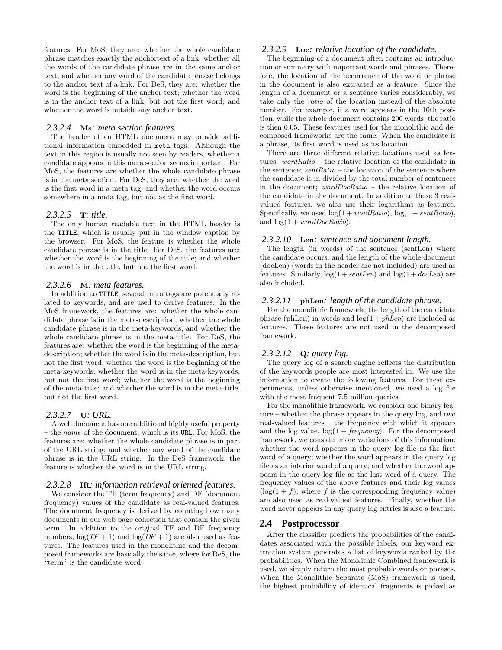features. For MoS, they are: whether the whole candidate phrase matches exactly the anchortext of a link; whether all the words of the candidate phrase are in the same anchor text; and whether any word of the candidate phrase belongs to the anchor text of a link. For DeS, they are: whether the word is the beginning of the anchor text; whether the word is in the anchor text of a link, but not the first word; and whether the word is outside any anchor text.

#### *2.3.2.4* Ms*: meta section features.*

The header of an HTML document may provide additional information embedded in meta tags. Although the text in this region is usually not seen by readers, whether a candidate appears in this meta section seems important. For MoS, the features are whether the whole candidate phrase is in the meta section. For DeS, they are: whether the word is the first word in a meta tag; and whether the word occurs somewhere in a meta tag, but not as the first word.

#### *2.3.2.5* T*: title.*

The only human readable text in the HTML header is the TITLE, which is usually put in the window caption by the browser. For MoS, the feature is whether the whole candidate phrase is in the title. For DeS, the features are: whether the word is the beginning of the title; and whether the word is in the title, but not the first word.

#### *2.3.2.6* M*: meta features.*

In addition to TITLE, several meta tags are potentially related to keywords, and are used to derive features. In the MoS framework, the features are: whether the whole candidate phrase is in the meta-description; whether the whole candidate phrase is in the meta-keywords; and whether the whole candidate phrase is in the meta-title. For DeS, the features are: whether the word is the beginning of the metadescription; whether the word is in the meta-description, but not the first word; whether the word is the beginning of the meta-keywords; whether the word is in the meta-keywords, but not the first word; whether the word is the beginning of the meta-title; and whether the word is in the meta-title, but not the first word.

#### *2.3.2.7* U*: URL.*

A web document has one additional highly useful property – the name of the document, which is its URL. For MoS, the features are: whether the whole candidate phrase is in part of the URL string; and whether any word of the candidate phrase is in the URL string. In the DeS framework, the feature is whether the word is in the URL string.

#### *2.3.2.8* IR*: information retrieval oriented features.*

We consider the TF (term frequency) and DF (document frequency) values of the candidate as real-valued features. The document frequency is derived by counting how many documents in our web page collection that contain the given term. In addition to the original TF and DF frequency numbers,  $\log(TF + 1)$  and  $\log(DF + 1)$  are also used as features. The features used in the monolithic and the decomposed frameworks are basically the same, where for DeS, the "term" is the candidate word.

#### *2.3.2.9* Loc*: relative location of the candidate.*

The beginning of a document often contains an introduction or summary with important words and phrases. Therefore, the location of the occurrence of the word or phrase in the document is also extracted as a feature. Since the length of a document or a sentence varies considerably, we take only the ratio of the location instead of the absolute number. For example, if a word appears in the 10th position, while the whole document contains 200 words, the ratio is then 0.05. These features used for the monolithic and decomposed frameworks are the same. When the candidate is a phrase, its first word is used as its location.

There are three different relative locations used as features: wordRatio – the relative location of the candidate in the sentence;  $sentRatio$  – the location of the sentence where the candidate is in divided by the total number of sentences in the document; wordDocRatio – the relative location of the candidate in the document. In addition to these 3 realvalued features, we also use their logarithms as features. Specifically, we used  $log(1 + wordRatio)$ ,  $log(1 + sentRatio)$ , and  $log(1 + wordDocRatio)$ .

#### *2.3.2.10* Len*: sentence and document length.*

The length (in words) of the sentence (sentLen) where the candidate occurs, and the length of the whole document (docLen) (words in the header are not included) are used as features. Similarly,  $log(1 + sentLen)$  and  $log(1 + docLen)$  are also included.

#### *2.3.2.11* phLen*: length of the candidate phrase.*

For the monolithic framework, the length of the candidate phrase (phLen) in words and  $log(1 + phLen)$  are included as features. These features are not used in the decomposed framework.

#### *2.3.2.12* Q*: query log.*

The query log of a search engine reflects the distribution of the keywords people are most interested in. We use the information to create the following features. For these experiments, unless otherwise mentioned, we used a log file with the most frequent 7.5 million queries.

For the monolithic framework, we consider one binary feature – whether the phrase appears in the query log, and two real-valued features – the frequency with which it appears and the log value,  $log(1 + frequency)$ . For the decomposed framework, we consider more variations of this information: whether the word appears in the query log file as the first word of a query; whether the word appears in the query log file as an interior word of a query; and whether the word appears in the query log file as the last word of a query. The frequency values of the above features and their log values  $(\log(1 + f))$ , where f is the corresponding frequency value) are also used as real-valued features. Finally, whether the word never appears in any query log entries is also a feature.

#### **2.4 Postprocessor**

After the classifier predicts the probabilities of the candidates associated with the possible labels, our keyword extraction system generates a list of keywords ranked by the probabilities. When the Monolithic Combined framework is used, we simply return the most probable words or phrases. When the Monolithic Separate (MoS) framework is used, the highest probability of identical fragments is picked as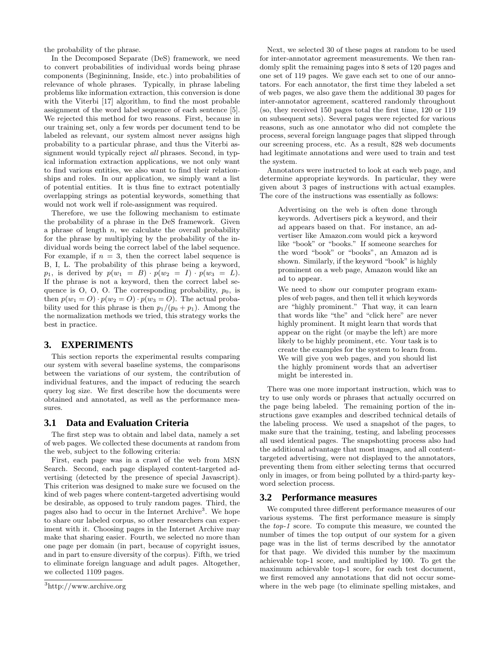the probability of the phrase.

In the Decomposed Separate (DeS) framework, we need to convert probabilities of individual words being phrase components (Begininning, Inside, etc.) into probabilities of relevance of whole phrases. Typically, in phrase labeling problems like information extraction, this conversion is done with the Viterbi [17] algorithm, to find the most probable assignment of the word label sequence of each sentence [5]. We rejected this method for two reasons. First, because in our training set, only a few words per document tend to be labeled as relevant, our system almost never assigns high probability to a particular phrase, and thus the Viterbi assignment would typically reject all phrases. Second, in typical information extraction applications, we not only want to find various entities, we also want to find their relationships and roles. In our application, we simply want a list of potential entities. It is thus fine to extract potentially overlapping strings as potential keywords, something that would not work well if role-assignment was required.

Therefore, we use the following mechanism to estimate the probability of a phrase in the DeS framework. Given a phrase of length  $n$ , we calculate the overall probability for the phrase by multiplying by the probability of the individual words being the correct label of the label sequence. For example, if  $n = 3$ , then the correct label sequence is B, I, L. The probability of this phrase being a keyword,  $p_1$ , is derived by  $p(w_1 = B) \cdot p(w_2 = I) \cdot p(w_3 = L)$ . If the phrase is not a keyword, then the correct label sequence is  $O, O, O$ . The corresponding probability,  $p_0$ , is then  $p(w_1 = O) \cdot p(w_2 = O) \cdot p(w_3 = O)$ . The actual probability used for this phrase is then  $p_1/(p_0 + p_1)$ . Among the the normalization methods we tried, this strategy works the best in practice.

# **3. EXPERIMENTS**

This section reports the experimental results comparing our system with several baseline systems, the comparisons between the variations of our system, the contribution of individual features, and the impact of reducing the search query log size. We first describe how the documents were obtained and annotated, as well as the performance measures.

# **3.1 Data and Evaluation Criteria**

The first step was to obtain and label data, namely a set of web pages. We collected these documents at random from the web, subject to the following criteria:

First, each page was in a crawl of the web from MSN Search. Second, each page displayed content-targeted advertising (detected by the presence of special Javascript). This criterion was designed to make sure we focused on the kind of web pages where content-targeted advertising would be desirable, as opposed to truly random pages. Third, the pages also had to occur in the Internet Archive<sup>3</sup> . We hope to share our labeled corpus, so other researchers can experiment with it. Choosing pages in the Internet Archive may make that sharing easier. Fourth, we selected no more than one page per domain (in part, because of copyright issues, and in part to ensure diversity of the corpus). Fifth, we tried to eliminate foreign language and adult pages. Altogether, we collected 1109 pages.

Next, we selected 30 of these pages at random to be used for inter-annotator agreement measurements. We then randomly split the remaining pages into 8 sets of 120 pages and one set of 119 pages. We gave each set to one of our annotators. For each annotator, the first time they labeled a set of web pages, we also gave them the additional 30 pages for inter-annotator agreement, scattered randomly throughout (so, they received 150 pages total the first time, 120 or 119 on subsequent sets). Several pages were rejected for various reasons, such as one annotator who did not complete the process, several foreign language pages that slipped through our screening process, etc. As a result, 828 web documents had legitimate annotations and were used to train and test the system.

Annotators were instructed to look at each web page, and determine appropriate keywords. In particular, they were given about 3 pages of instructions with actual examples. The core of the instructions was essentially as follows:

Advertising on the web is often done through keywords. Advertisers pick a keyword, and their ad appears based on that. For instance, an advertiser like Amazon.com would pick a keyword like "book" or "books." If someone searches for the word "book" or "books", an Amazon ad is shown. Similarly, if the keyword "book" is highly prominent on a web page, Amazon would like an ad to appear.

We need to show our computer program examples of web pages, and then tell it which keywords are "highly prominent." That way, it can learn that words like "the" and "click here" are never highly prominent. It might learn that words that appear on the right (or maybe the left) are more likely to be highly prominent, etc. Your task is to create the examples for the system to learn from. We will give you web pages, and you should list the highly prominent words that an advertiser might be interested in.

There was one more important instruction, which was to try to use only words or phrases that actually occurred on the page being labeled. The remaining portion of the instructions gave examples and described technical details of the labeling process. We used a snapshot of the pages, to make sure that the training, testing, and labeling processes all used identical pages. The snapshotting process also had the additional advantage that most images, and all contenttargeted advertising, were not displayed to the annotators, preventing them from either selecting terms that occurred only in images, or from being polluted by a third-party keyword selection process.

#### **3.2 Performance measures**

We computed three different performance measures of our various systems. The first performance measure is simply the top-1 score. To compute this measure, we counted the number of times the top output of our system for a given page was in the list of terms described by the annotator for that page. We divided this number by the maximum achievable top-1 score, and multiplied by 100. To get the maximum achievable top-1 score, for each test document, we first removed any annotations that did not occur somewhere in the web page (to eliminate spelling mistakes, and

<sup>3</sup>http://www.archive.org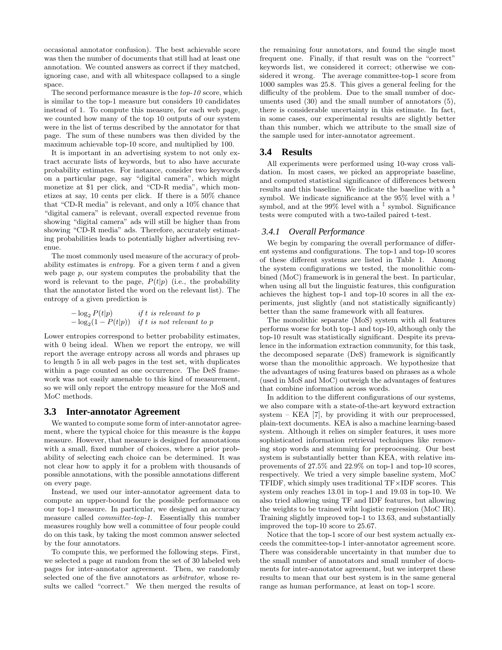occasional annotator confusion). The best achievable score was then the number of documents that still had at least one annotation. We counted answers as correct if they matched, ignoring case, and with all whitespace collapsed to a single space.

The second performance measure is the  $top-10$  score, which is similar to the top-1 measure but considers 10 candidates instead of 1. To compute this measure, for each web page, we counted how many of the top 10 outputs of our system were in the list of terms described by the annotator for that page. The sum of these numbers was then divided by the maximum achievable top-10 score, and multiplied by 100.

It is important in an advertising system to not only extract accurate lists of keywords, but to also have accurate probability estimates. For instance, consider two keywords on a particular page, say "digital camera", which might monetize at \$1 per click, and "CD-R media", which monetizes at say, 10 cents per click. If there is a 50% chance that "CD-R media" is relevant, and only a 10% chance that "digital camera" is relevant, overall expected revenue from showing "digital camera" ads will still be higher than from showing "CD-R media" ads. Therefore, accurately estimating probabilities leads to potentially higher advertising revenue.

The most commonly used measure of the accuracy of probability estimates is *entropy*. For a given term  $t$  and a given web page  $p$ , our system computes the probability that the word is relevant to the page,  $P(t|p)$  (i.e., the probability that the annotator listed the word on the relevant list). The entropy of a given prediction is

− log<sup>2</sup> P(t|p) if t is relevant to p − log<sup>2</sup> (1 − P(t|p)) if t is not relevant to p

Lower entropies correspond to better probability estimates, with 0 being ideal. When we report the entropy, we will report the average entropy across all words and phrases up to length 5 in all web pages in the test set, with duplicates within a page counted as one occurrence. The DeS framework was not easily amenable to this kind of measurement, so we will only report the entropy measure for the MoS and MoC methods.

# **3.3 Inter-annotator Agreement**

We wanted to compute some form of inter-annotator agreement, where the typical choice for this measure is the kappa measure. However, that measure is designed for annotations with a small, fixed number of choices, where a prior probability of selecting each choice can be determined. It was not clear how to apply it for a problem with thousands of possible annotations, with the possible annotations different on every page.

Instead, we used our inter-annotator agreement data to compute an upper-bound for the possible performance on our top-1 measure. In particular, we designed an accuracy measure called committee-top-1. Essentially this number measures roughly how well a committee of four people could do on this task, by taking the most common answer selected by the four annotators.

To compute this, we performed the following steps. First, we selected a page at random from the set of 30 labeled web pages for inter-annotator agreement. Then, we randomly selected one of the five annotators as arbitrator, whose results we called "correct." We then merged the results of the remaining four annotators, and found the single most frequent one. Finally, if that result was on the "correct" keywords list, we considered it correct; otherwise we considered it wrong. The average committee-top-1 score from 1000 samples was 25.8. This gives a general feeling for the difficulty of the problem. Due to the small number of documents used (30) and the small number of annotators (5), there is considerable uncertainty in this estimate. In fact, in some cases, our experimental results are slightly better than this number, which we attribute to the small size of the sample used for inter-annotator agreement.

### **3.4 Results**

All experiments were performed using 10-way cross validation. In most cases, we picked an appropriate baseline, and computed statistical significance of differences between results and this baseline. We indicate the baseline with a  $<sup>b</sup>$ </sup> symbol. We indicate significance at the 95% level with a  $<sup>†</sup>$ </sup> symbol, and at the 99% level with a  $\frac{1}{2}$  symbol. Significance tests were computed with a two-tailed paired t-test.

# *3.4.1 Overall Performance*

We begin by comparing the overall performance of different systems and configurations. The top-1 and top-10 scores of these different systems are listed in Table 1. Among the system configurations we tested, the monolithic combined (MoC) framework is in general the best. In particular, when using all but the linguistic features, this configuration achieves the highest top-1 and top-10 scores in all the experiments, just slightly (and not statistically significantly) better than the same framework with all features.

The monolithic separate (MoS) system with all features performs worse for both top-1 and top-10, although only the top-10 result was statistically significant. Despite its prevalence in the information extraction community, for this task, the decomposed separate (DeS) framework is significantly worse than the monolithic approach. We hypothesize that the advantages of using features based on phrases as a whole (used in MoS and MoC) outweigh the advantages of features that combine information across words.

In addition to the different configurations of our systems, we also compare with a state-of-the-art keyword extraction system – KEA [7], by providing it with our preprocessed, plain-text documents. KEA is also a machine learning-based system. Although it relies on simpler features, it uses more sophisticated information retrieval techniques like removing stop words and stemming for preprocessing. Our best system is substantially better than KEA, with relative improvements of 27.5% and 22.9% on top-1 and top-10 scores, respectively. We tried a very simple baseline system, MoC TFIDF, which simply uses traditional TF×IDF scores. This system only reaches 13.01 in top-1 and 19.03 in top-10. We also tried allowing using TF and IDF features, but allowing the weights to be trained wiht logistic regression (MoC IR). Training slightly improved top-1 to 13.63, and substantially improved the top-10 score to 25.67.

Notice that the top-1 score of our best system actually exceeds the committee-top-1 inter-annotator agreement score. There was considerable uncertainty in that number due to the small number of annotators and small number of documents for inter-annotator agreement, but we interpret these results to mean that our best system is in the same general range as human performance, at least on top-1 score.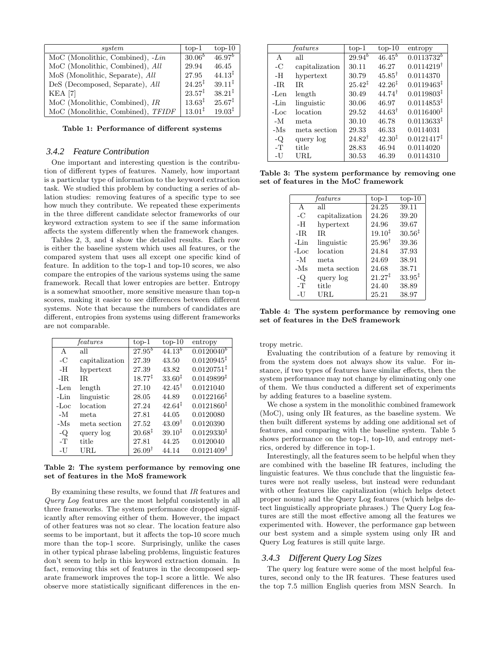| $\emph{system}$                    | $top-1$            | $top-10$           |
|------------------------------------|--------------------|--------------------|
| MoC (Monolithic, Combined), $-Lin$ | $30.06^{b}$        | $46.97^{b}$        |
| MoC (Monolithic, Combined), All    | 29.94              | 46.45              |
| MoS (Monolithic, Separate), All    | 27.95              | $44.13^{\ddagger}$ |
| DeS (Decomposed, Separate), All    | $24.25^{\ddagger}$ | $39.11^{\ddagger}$ |
| <b>KEA</b> [7]                     | $23.57^{\ddagger}$ | $38.21^{\ddagger}$ |
| MoC (Monolithic, Combined), IR     | $13.63^{\ddagger}$ | $25.67^{\ddagger}$ |
| MoC (Monolithic, Combined), TFIDF  | $13.01^{\ddagger}$ | $19.03^{\ddagger}$ |

Table 1: Performance of different systems

#### *3.4.2 Feature Contribution*

One important and interesting question is the contribution of different types of features. Namely, how important is a particular type of information to the keyword extraction task. We studied this problem by conducting a series of ablation studies: removing features of a specific type to see how much they contribute. We repeated these experiments in the three different candidate selector frameworks of our keyword extraction system to see if the same information affects the system differently when the framework changes.

Tables 2, 3, and 4 show the detailed results. Each row is either the baseline system which uses all features, or the compared system that uses all except one specific kind of feature. In addition to the top-1 and top-10 scores, we also compare the entropies of the various systems using the same framework. Recall that lower entropies are better. Entropy is a somewhat smoother, more sensitive measure than top-n scores, making it easier to see differences between different systems. Note that because the numbers of candidates are different, entropies from systems using different frameworks are not comparable.

|              | <i>features</i> | $top-1$            | $top-10$           | entropy                |
|--------------|-----------------|--------------------|--------------------|------------------------|
| $\mathsf{A}$ | all             | $27.95^{b}$        | $44.13^{b}$        | $0.0120040^b$          |
| $-C$         | capitalization  | 27.39              | 43.50              | $0.0120945^{\ddagger}$ |
| -H           | hypertext       | 27.39              | 43.82              | $0.0120751^{\ddagger}$ |
| $-IR$        | IR.             | $18.77^{\ddagger}$ | $33.60^{\ddagger}$ | $0.0149899^{\ddagger}$ |
| -Len         | length          | 27.10              | $42.45^{\dagger}$  | 0.0121040              |
| -Lin         | linguistic      | 28.05              | 44.89              | $0.0122166^{\ddagger}$ |
| $-Loc$       | location        | 27.24              | $42.64^{\ddagger}$ | $0.0121860*$           |
| $-M$         | meta            | 27.81              | 44.05              | 0.0120080              |
| $-Ms$        | meta section    | 27.52              | $43.09^{\dagger}$  | 0.0120390              |
| -Q           | query log       | $20.68^{\ddagger}$ | $39.10^{\ddagger}$ | $0.0129330*$           |
| $-T$         | title           | 27.81              | 44.25              | 0.0120040              |
| $-U$         | URL             | $26.09^{\dagger}$  | 44.14              | $0.0121409^{\dagger}$  |

#### Table 2: The system performance by removing one set of features in the MoS framework

By examining these results, we found that IR features and Query Log features are the most helpful consistently in all three frameworks. The system performance dropped significantly after removing either of them. However, the impact of other features was not so clear. The location feature also seems to be important, but it affects the top-10 score much more than the top-1 score. Surprisingly, unlike the cases in other typical phrase labeling problems, linguistic features don't seem to help in this keyword extraction domain. In fact, removing this set of features in the decomposed separate framework improves the top-1 score a little. We also observe more statistically significant differences in the en-

|              | features       | $top-1$            | $top-10$           | entropy                |
|--------------|----------------|--------------------|--------------------|------------------------|
| $\mathsf{A}$ | all            | $29.94^{b}$        | $46.45^{b}$        | $0.0113732^b$          |
| $-C$         | capitalization | 30.11              | 46.27              | $0.0114219^{\dagger}$  |
| $-H$         | hypertext      | 30.79              | $45.85^{\dagger}$  | 0.0114370              |
| -IR.         | IR.            | $25.42^{\ddagger}$ | $42.26^{\ddagger}$ | $0.0119463^{\ddagger}$ |
| -Len         | length         | 30.49              | $44.74^{\dagger}$  | $0.0119803^{\ddagger}$ |
| -Lin         | linguistic     | 30.06              | 46.97              | $0.0114853^{\ddagger}$ |
| $-Loc$       | location       | 29.52              | $44.63^{\dagger}$  | $0.0116400^{\ddagger}$ |
| $-M$         | meta           | 30.10              | 46.78              | $0.0113633^{\ddagger}$ |
| $-Ms$        | meta section   | 29.33              | 46.33              | 0.0114031              |
| $-Q$         | query log      | $24.82^{\dagger}$  | $42.30^{\ddagger}$ | $0.0121417^{\ddagger}$ |
| $-T$         | title          | 28.83              | 46.94              | 0.0114020              |
| -U           | URL            | 30.53              | 46.39              | 0.0114310              |

Table 3: The system performance by removing one set of features in the MoC framework

|        | features       | $top-1$            | $top-10$           |
|--------|----------------|--------------------|--------------------|
| A      | all            | 24.25              | 39.11              |
| $-C$   | capitalization | 24.26              | 39.20              |
| -H     | hypertext      | 24.96              | 39.67              |
| -IR    | TR.            | $19.10^{1}$        | $30.56^{\ddagger}$ |
| -Lin   | linguistic     | $25.96^{\dagger}$  | 39.36              |
| $-Loc$ | location       | 24.84              | 37.93              |
| $-M$   | meta           | 24.69              | 38.91              |
| $-Ms$  | meta section   | 24.68              | 38.71              |
| -Q     | query log      | $21.27^{\ddagger}$ | $33.95^{\ddagger}$ |
| $-T$   | title          | 24.40              | 38.89              |
| $-IJ$  | $_{\rm URL}$   | 25.21              | 38.97              |

Table 4: The system performance by removing one set of features in the DeS framework

tropy metric.

Evaluating the contribution of a feature by removing it from the system does not always show its value. For instance, if two types of features have similar effects, then the system performance may not change by eliminating only one of them. We thus conducted a different set of experiments by adding features to a baseline system.

We chose a system in the monolithic combined framework (MoC), using only IR features, as the baseline system. We then built different systems by adding one additional set of features, and comparing with the baseline system. Table 5 shows performance on the top-1, top-10, and entropy metrics, ordered by difference in top-1.

Interestingly, all the features seem to be helpful when they are combined with the baseline IR features, including the linguistic features. We thus conclude that the linguistic features were not really useless, but instead were redundant with other features like capitalization (which helps detect proper nouns) and the Query Log features (which helps detect linguistically appropriate phrases.) The Query Log features are still the most effective among all the features we experimented with. However, the performance gap between our best system and a simple system using only IR and Query Log features is still quite large.

# *3.4.3 Different Query Log Sizes*

The query log feature were some of the most helpful features, second only to the IR features. These features used the top 7.5 million English queries from MSN Search. In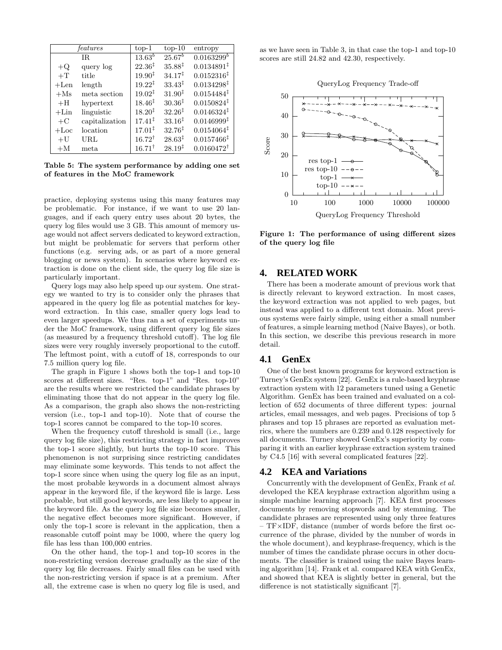|         | features       | $top-1$            | $top-10$           | entropy                |
|---------|----------------|--------------------|--------------------|------------------------|
|         | IR.            | $13.63^{b}$        | $25.67^{b}$        | $0.0163299^b$          |
| $+Q$    | query log      | $22.36^{\ddagger}$ | $35.88^{\ddagger}$ | $0.0134891^{\ddagger}$ |
| $+T$    | title          | $19.90^{\ddagger}$ | $34.17^{\ddagger}$ | $0.0152316^{\ddagger}$ |
| $+Len$  | length         | $19.22^{\ddagger}$ | $33.43^{\ddagger}$ | $0.0134298^{\ddagger}$ |
| $+Ms$   | meta section   | $19.02^{\ddagger}$ | $31.90^{\ddagger}$ | $0.0154484^{\ddagger}$ |
| $+H$    | hypertext      | $18.46^{\ddagger}$ | $30.36^{\ddagger}$ | $0.0150824^{\ddagger}$ |
| $+Lin$  | linguistic     | $18.20^{\ddagger}$ | $32.26^{\ddagger}$ | $0.0146324^{\ddagger}$ |
| $+C$    | capitalization | $17.41^{\ddagger}$ | $33.16^{\ddagger}$ | $0.0146999^{\ddagger}$ |
| $+$ Loc | location       | $17.01^{\ddagger}$ | $32.76^{\ddagger}$ | $0.0154064^{\ddagger}$ |
| $+U$    | URL            | $16.72^{\dagger}$  | $28.63^{\ddagger}$ | $0.0157466^{\ddagger}$ |
| $+M$    | meta           | $16.71^{\dagger}$  | $28.19^{\ddagger}$ | $0.0160472^{\dagger}$  |

Table 5: The system performance by adding one set of features in the MoC framework

practice, deploying systems using this many features may be problematic. For instance, if we want to use 20 languages, and if each query entry uses about 20 bytes, the query log files would use 3 GB. This amount of memory usage would not affect servers dedicated to keyword extraction, but might be problematic for servers that perform other functions (e.g. serving ads, or as part of a more general blogging or news system). In scenarios where keyword extraction is done on the client side, the query log file size is particularly important.

Query logs may also help speed up our system. One strategy we wanted to try is to consider only the phrases that appeared in the query log file as potential matches for keyword extraction. In this case, smaller query logs lead to even larger speedups. We thus ran a set of experiments under the MoC framework, using different query log file sizes (as measured by a frequency threshold cutoff). The log file sizes were very roughly inversely proportional to the cutoff. The leftmost point, with a cutoff of 18, corresponds to our 7.5 million query log file.

The graph in Figure 1 shows both the top-1 and top-10 scores at different sizes. "Res. top-1" and "Res. top-10" are the results where we restricted the candidate phrases by eliminating those that do not appear in the query log file. As a comparison, the graph also shows the non-restricting version (i.e., top-1 and top-10). Note that of course the top-1 scores cannot be compared to the top-10 scores.

When the frequency cutoff threshold is small (i.e., large query log file size), this restricting strategy in fact improves the top-1 score slightly, but hurts the top-10 score. This phenomenon is not surprising since restricting candidates may eliminate some keywords. This tends to not affect the top-1 score since when using the query log file as an input, the most probable keywords in a document almost always appear in the keyword file, if the keyword file is large. Less probable, but still good keywords, are less likely to appear in the keyword file. As the query log file size becomes smaller, the negative effect becomes more significant. However, if only the top-1 score is relevant in the application, then a reasonable cutoff point may be 1000, where the query log file has less than 100,000 entries.

On the other hand, the top-1 and top-10 scores in the non-restricting version decrease gradually as the size of the query log file decreases. Fairly small files can be used with the non-restricting version if space is at a premium. After all, the extreme case is when no query log file is used, and as we have seen in Table 3, in that case the top-1 and top-10 scores are still 24.82 and 42.30, respectively.





Figure 1: The performance of using different sizes of the query log file

# **4. RELATED WORK**

There has been a moderate amount of previous work that is directly relevant to keyword extraction. In most cases, the keyword extraction was not applied to web pages, but instead was applied to a different text domain. Most previous systems were fairly simple, using either a small number of features, a simple learning method (Naive Bayes), or both. In this section, we describe this previous research in more detail.

# **4.1 GenEx**

One of the best known programs for keyword extraction is Turney's GenEx system [22]. GenEx is a rule-based keyphrase extraction system with 12 parameters tuned using a Genetic Algorithm. GenEx has been trained and evaluated on a collection of 652 documents of three different types: journal articles, email messages, and web pages. Precisions of top 5 phrases and top 15 phrases are reported as evaluation metrics, where the numbers are 0.239 and 0.128 respectively for all documents. Turney showed GenEx's superiority by comparing it with an earlier keyphrase extraction system trained by C4.5 [16] with several complicated features [22].

#### **4.2 KEA and Variations**

Concurrently with the development of GenEx, Frank et al. developed the KEA keyphrase extraction algorithm using a simple machine learning approach [7]. KEA first processes documents by removing stopwords and by stemming. The candidate phrases are represented using only three features – TF×IDF, distance (number of words before the first occurrence of the phrase, divided by the number of words in the whole document), and keyphrase-frequency, which is the number of times the candidate phrase occurs in other documents. The classifier is trained using the naive Bayes learning algorithm [14]. Frank et al. compared KEA with GenEx, and showed that KEA is slightly better in general, but the difference is not statistically significant [7].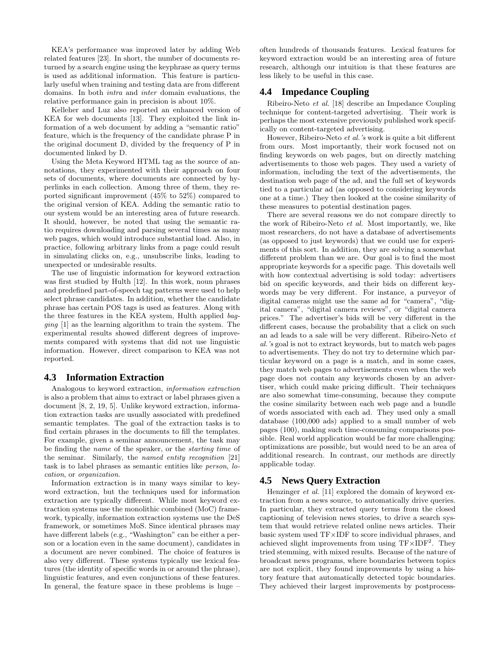KEA's performance was improved later by adding Web related features [23]. In short, the number of documents returned by a search engine using the keyphrase as query terms is used as additional information. This feature is particularly useful when training and testing data are from different domains. In both intra and inter domain evaluations, the relative performance gain in precision is about 10%.

Kelleher and Luz also reported an enhanced version of KEA for web documents [13]. They exploited the link information of a web document by adding a "semantic ratio" feature, which is the frequency of the candidate phrase P in the original document D, divided by the frequency of P in documented linked by D.

Using the Meta Keyword HTML tag as the source of annotations, they experimented with their approach on four sets of documents, where documents are connected by hyperlinks in each collection. Among three of them, they reported significant improvement (45% to 52%) compared to the original version of KEA. Adding the semantic ratio to our system would be an interesting area of future research. It should, however, be noted that using the semantic ratio requires downloading and parsing several times as many web pages, which would introduce substantial load. Also, in practice, following arbitrary links from a page could result in simulating clicks on, e.g., unsubscribe links, leading to unexpected or undesirable results.

The use of linguistic information for keyword extraction was first studied by Hulth [12]. In this work, noun phrases and predefined part-of-speech tag patterns were used to help select phrase candidates. In addition, whether the candidate phrase has certain POS tags is used as features. Along with the three features in the KEA system, Hulth applied bagging [1] as the learning algorithm to train the system. The experimental results showed different degrees of improvements compared with systems that did not use linguistic information. However, direct comparison to KEA was not reported.

# **4.3 Information Extraction**

Analogous to keyword extraction, information extraction is also a problem that aims to extract or label phrases given a document [8, 2, 19, 5]. Unlike keyword extraction, information extraction tasks are usually associated with predefined semantic templates. The goal of the extraction tasks is to find certain phrases in the documents to fill the templates. For example, given a seminar announcement, the task may be finding the name of the speaker, or the starting time of the seminar. Similarly, the named entity recognition [21] task is to label phrases as semantic entities like person, location, or organization.

Information extraction is in many ways similar to keyword extraction, but the techniques used for information extraction are typically different. While most keyword extraction systems use the monolithic combined (MoC) framework, typically, information extraction systems use the DeS framework, or sometimes MoS. Since identical phrases may have different labels (e.g., "Washington" can be either a person or a location even in the same document), candidates in a document are never combined. The choice of features is also very different. These systems typically use lexical features (the identity of specific words in or around the phrase), linguistic features, and even conjunctions of these features. In general, the feature space in these problems is huge – often hundreds of thousands features. Lexical features for keyword extraction would be an interesting area of future research, although our intuition is that these features are less likely to be useful in this case.

# **4.4 Impedance Coupling**

Ribeiro-Neto et al. [18] describe an Impedance Coupling technique for content-targeted advertising. Their work is perhaps the most extensive previously published work specifically on content-targeted advertising.

However, Ribeiro-Neto et al.'s work is quite a bit different from ours. Most importantly, their work focused not on finding keywords on web pages, but on directly matching advertisements to those web pages. They used a variety of information, including the text of the advertisements, the destination web page of the ad, and the full set of keywords tied to a particular ad (as opposed to considering keywords one at a time.) They then looked at the cosine similarity of these measures to potential destination pages.

There are several reasons we do not compare directly to the work of Ribeiro-Neto et al. Most importantly, we, like most researchers, do not have a database of advertisements (as opposed to just keywords) that we could use for experiments of this sort. In addition, they are solving a somewhat different problem than we are. Our goal is to find the most appropriate keywords for a specific page. This dovetails well with how contextual advertising is sold today: advertisers bid on specific keywords, and their bids on different keywords may be very different. For instance, a purveyor of digital cameras might use the same ad for "camera", "digital camera", "digital camera reviews", or "digital camera prices." The advertiser's bids will be very different in the different cases, because the probability that a click on such an ad leads to a sale will be very different. Ribeiro-Neto et al.'s goal is not to extract keywords, but to match web pages to advertisements. They do not try to determine which particular keyword on a page is a match, and in some cases, they match web pages to advertisements even when the web page does not contain any keywords chosen by an advertiser, which could make pricing difficult. Their techniques are also somewhat time-consuming, because they compute the cosine similarity between each web page and a bundle of words associated with each ad. They used only a small database (100,000 ads) applied to a small number of web pages (100), making such time-consuming comparisons possible. Real world application would be far more challenging: optimizations are possible, but would need to be an area of additional research. In contrast, our methods are directly applicable today.

# **4.5 News Query Extraction**

Henzinger et al. [11] explored the domain of keyword extraction from a news source, to automatically drive queries. In particular, they extracted query terms from the closed captioning of television news stories, to drive a search system that would retrieve related online news articles. Their basic system used TF×IDF to score individual phrases, and achieved slight improvements from using  $TF\times IDF^2$ . They tried stemming, with mixed results. Because of the nature of broadcast news programs, where boundaries between topics are not explicit, they found improvements by using a history feature that automatically detected topic boundaries. They achieved their largest improvements by postprocess